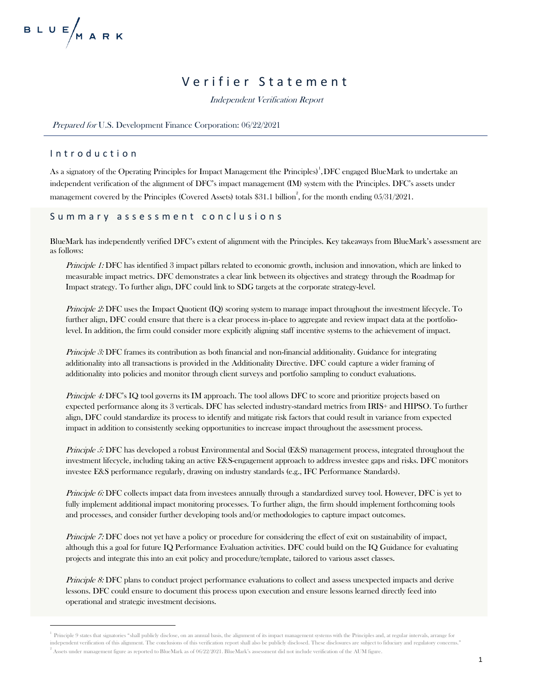## Verifier Statement

Independent Verification Report

#### Prepared for U.S. Development Finance Corporation: 06/22/2021

### Introduction

As a signatory of the Operating Principles for Impact Management (the Principles) $^1,$ DFC engaged BlueMark to undertake an independent verification of the alignment of DFC's impact management (IM) system with the Principles. DFC's assets under management covered by the Principles (Covered Assets) totals \$31.1 billion<sup>2</sup>, for the month ending 05/31/2021.

## Summary assessment conclusions

BlueMark has independently verified DFC's extent of alignment with the Principles. Key takeaways from BlueMark's assessment are as follows:

Principle 1: DFC has identified 3 impact pillars related to economic growth, inclusion and innovation, which are linked to measurable impact metrics. DFC demonstrates a clear link between its objectives and strategy through the Roadmap for Impact strategy. To further align, DFC could link to SDG targets at the corporate strategy-level.

Principle 2: DFC uses the Impact Quotient (IQ) scoring system to manage impact throughout the investment lifecycle. To further align, DFC could ensure that there is a clear process in-place to aggregate and review impact data at the portfoliolevel. In addition, the firm could consider more explicitly aligning staff incentive systems to the achievement of impact.

Principle 3: DFC frames its contribution as both financial and non-financial additionality. Guidance for integrating additionality into all transactions is provided in the Additionality Directive. DFC could capture a wider framing of additionality into policies and monitor through client surveys and portfolio sampling to conduct evaluations.

Principle 4: DFC's IQ tool governs its IM approach. The tool allows DFC to score and prioritize projects based on expected performance along its 3 verticals. DFC has selected industry-standard metrics from IRIS+ and HIPSO. To further align, DFC could standardize its process to identify and mitigate risk factors that could result in variance from expected impact in addition to consistently seeking opportunities to increase impact throughout the assessment process.

Principle 5: DFC has developed a robust Environmental and Social (E&S) management process, integrated throughout the investment lifecycle, including taking an active E&S-engagement approach to address investee gaps and risks. DFC monitors investee E&S performance regularly, drawing on industry standards (e.g., IFC Performance Standards).

Principle 6: DFC collects impact data from investees annually through a standardized survey tool. However, DFC is yet to fully implement additional impact monitoring processes. To further align, the firm should implement forthcoming tools and processes, and consider further developing tools and/or methodologies to capture impact outcomes.

Principle 7: DFC does not yet have a policy or procedure for considering the effect of exit on sustainability of impact, although this a goal for future IQ Performance Evaluation activities. DFC could build on the IQ Guidance for evaluating projects and integrate this into an exit policy and procedure/template, tailored to various asset classes.

Principle 8: DFC plans to conduct project performance evaluations to collect and assess unexpected impacts and derive lessons. DFC could ensure to document this process upon execution and ensure lessons learned directly feed into operational and strategic investment decisions.

<sup>&</sup>lt;sup>1</sup> Principle 9 states that signatories "shall publicly disclose, on an annual basis, the alignment of its impact management systems with the Principles and, at regular intervals, arrange for independent verification of this alignment. The conclusions of this verification report shall also be publicly disclosed. These disclosures are subject to fiduciary and regulatory concerns."

 $^2$  Assets under management figure as reported to BlueMark as of 06/22/2021. BlueMark's assessment did not include verification of the AUM figure.